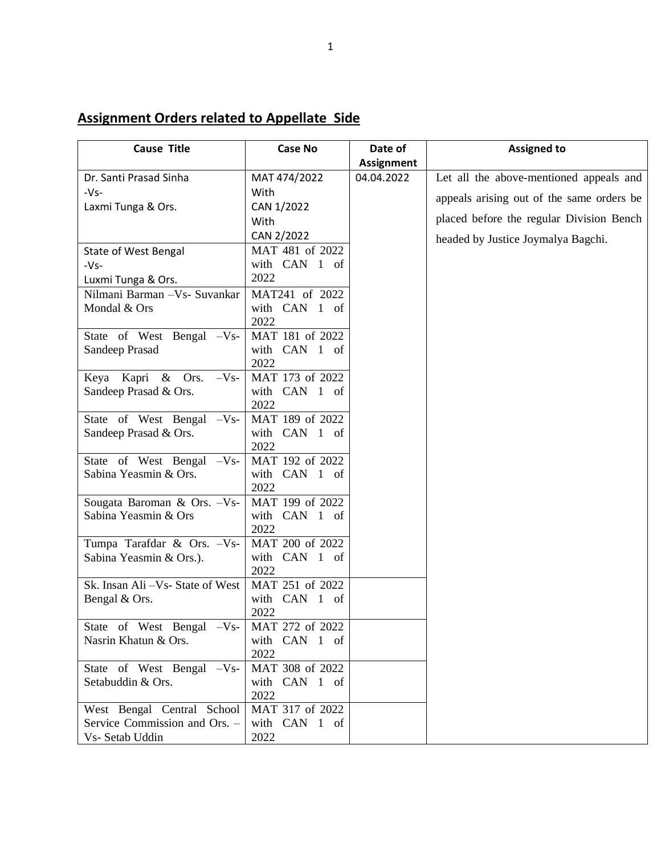## **Assignment Orders related to Appellate Side**

| <b>Cause Title</b>                | <b>Case No</b>        | Date of           | <b>Assigned to</b>                        |
|-----------------------------------|-----------------------|-------------------|-------------------------------------------|
|                                   |                       | <b>Assignment</b> |                                           |
| Dr. Santi Prasad Sinha            | MAT 474/2022          | 04.04.2022        | Let all the above-mentioned appeals and   |
| $-Vs-$                            | With                  |                   | appeals arising out of the same orders be |
| Laxmi Tunga & Ors.                | CAN 1/2022            |                   |                                           |
|                                   | With                  |                   | placed before the regular Division Bench  |
|                                   | CAN 2/2022            |                   | headed by Justice Joymalya Bagchi.        |
| State of West Bengal              | MAT 481 of 2022       |                   |                                           |
| $-Vs-$                            | with CAN 1 of         |                   |                                           |
| Luxmi Tunga & Ors.                | 2022                  |                   |                                           |
| Nilmani Barman - Vs- Suvankar     | MAT241 of 2022        |                   |                                           |
| Mondal & Ors                      | with CAN 1 of         |                   |                                           |
|                                   | 2022                  |                   |                                           |
| State of West Bengal -Vs-         | MAT 181 of 2022       |                   |                                           |
| Sandeep Prasad                    | with CAN 1 of         |                   |                                           |
|                                   | 2022                  |                   |                                           |
| Keya Kapri & Ors.<br>$-Vs-$       | MAT 173 of 2022       |                   |                                           |
| Sandeep Prasad & Ors.             | with CAN 1 of         |                   |                                           |
|                                   | 2022                  |                   |                                           |
| State of West Bengal -Vs-         | MAT 189 of 2022       |                   |                                           |
| Sandeep Prasad & Ors.             | with CAN 1 of         |                   |                                           |
|                                   | 2022                  |                   |                                           |
| State of West Bengal -Vs-         | MAT 192 of 2022       |                   |                                           |
| Sabina Yeasmin & Ors.             | with CAN 1 of<br>2022 |                   |                                           |
| Sougata Baroman & Ors. - Vs-      | MAT 199 of 2022       |                   |                                           |
| Sabina Yeasmin & Ors              | with CAN 1 of         |                   |                                           |
|                                   | 2022                  |                   |                                           |
| Tumpa Tarafdar & Ors. - Vs-       | MAT 200 of 2022       |                   |                                           |
| Sabina Yeasmin & Ors.).           | with CAN 1 of         |                   |                                           |
|                                   | 2022                  |                   |                                           |
| Sk. Insan Ali - Vs- State of West | MAT 251 of 2022       |                   |                                           |
| Bengal & Ors.                     | with CAN 1 of         |                   |                                           |
|                                   | 2022                  |                   |                                           |
| State of West Bengal -Vs-         | MAT 272 of 2022       |                   |                                           |
| Nasrin Khatun & Ors.              | with CAN 1 of         |                   |                                           |
|                                   | 2022                  |                   |                                           |
| State of West Bengal -Vs-         | MAT 308 of 2022       |                   |                                           |
| Setabuddin & Ors.                 | with CAN 1 of         |                   |                                           |
|                                   | 2022                  |                   |                                           |
| West Bengal Central School        | MAT 317 of 2022       |                   |                                           |
| Service Commission and Ors. -     | with CAN 1 of         |                   |                                           |
| Vs- Setab Uddin                   | 2022                  |                   |                                           |